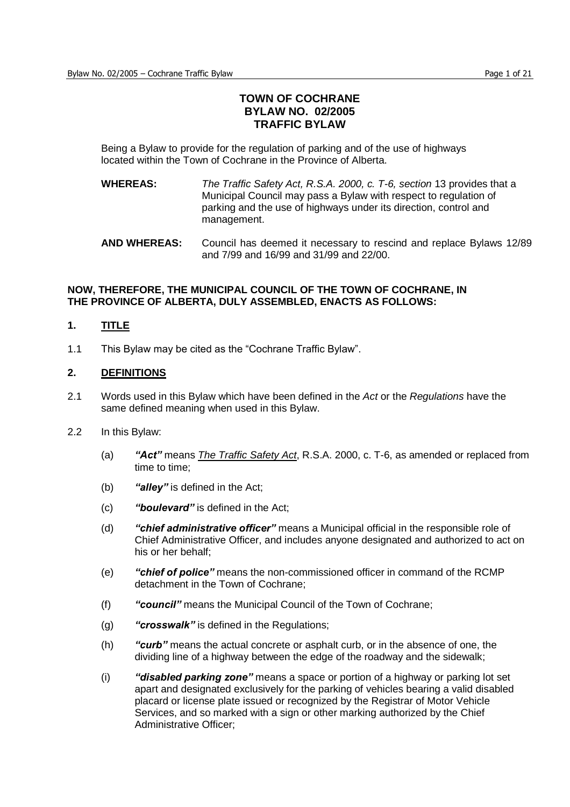# **TOWN OF COCHRANE BYLAW NO. 02/2005 TRAFFIC BYLAW**

Being a Bylaw to provide for the regulation of parking and of the use of highways located within the Town of Cochrane in the Province of Alberta.

- **WHEREAS:** *The Traffic Safety Act, R.S.A. 2000, c. T-6, section* 13 provides that a Municipal Council may pass a Bylaw with respect to regulation of parking and the use of highways under its direction, control and management.
- **AND WHEREAS:** Council has deemed it necessary to rescind and replace Bylaws 12/89 and 7/99 and 16/99 and 31/99 and 22/00.

#### **NOW, THEREFORE, THE MUNICIPAL COUNCIL OF THE TOWN OF COCHRANE, IN THE PROVINCE OF ALBERTA, DULY ASSEMBLED, ENACTS AS FOLLOWS:**

## **1. TITLE**

1.1 This Bylaw may be cited as the "Cochrane Traffic Bylaw".

#### **2. DEFINITIONS**

- 2.1 Words used in this Bylaw which have been defined in the *Act* or the *Regulations* have the same defined meaning when used in this Bylaw.
- 2.2 In this Bylaw:
	- (a) *"Act"*means *The Traffic Safety Act*, R.S.A. 2000, c. T-6, as amended or replaced from time to time;
	- (b) *"alley"*is defined in the Act;
	- (c) *"boulevard"*is defined in the Act;
	- (d) **"chief administrative officer"** means a Municipal official in the responsible role of Chief Administrative Officer, and includes anyone designated and authorized to act on his or her behalf;
	- (e) *"chiefofpolice"*means the non-commissioned officer in command of the RCMP detachment in the Town of Cochrane;
	- (f) *"council"*means the Municipal Council of the Town of Cochrane;
	- (g) *"crosswalk"*is defined in the Regulations;
	- (h) *"curb"*means the actual concrete or asphalt curb, or in the absence of one, the dividing line of a highway between the edge of the roadway and the sidewalk;
	- (i) **"disabled parking zone"** means a space or portion of a highway or parking lot set apart and designated exclusively for the parking of vehicles bearing a valid disabled placard or license plate issued or recognized by the Registrar of Motor Vehicle Services, and so marked with a sign or other marking authorized by the Chief Administrative Officer;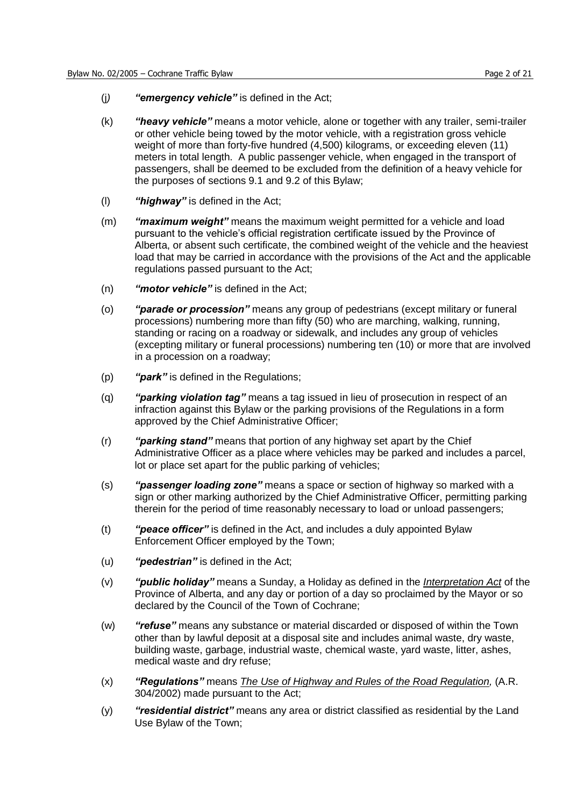- (i) *"emergency vehicle"* is defined in the Act;
- (k) *"heavyvehicle"*means a motor vehicle, alone or together with any trailer, semi-trailer or other vehicle being towed by the motor vehicle, with a registration gross vehicle weight of more than forty-five hundred (4,500) kilograms, or exceeding eleven (11) meters in total length. A public passenger vehicle, when engaged in the transport of passengers, shall be deemed to be excluded from the definition of a heavy vehicle for the purposes of sections 9.1 and 9.2 of this Bylaw;
- (l) *"highway"*is defined in the Act;
- (m) *"maximumweight"*means the maximum weight permitted for a vehicle and load pursuant to the vehicle's official registration certificate issued by the Province of Alberta, or absent such certificate, the combined weight of the vehicle and the heaviest load that may be carried in accordance with the provisions of the Act and the applicable regulations passed pursuant to the Act;
- (n) **"motor vehicle"** is defined in the Act;
- (o) *"parade or procession"* means any group of pedestrians (except military or funeral processions) numbering more than fifty (50) who are marching, walking, running, standing or racing on a roadway or sidewalk, and includes any group of vehicles (excepting military or funeral processions) numbering ten (10) or more that are involved in a procession on a roadway;
- (p) *"park"*is defined in the Regulations;
- (q) *"parking violation tag"* means a tag issued in lieu of prosecution in respect of an infraction against this Bylaw or the parking provisions of the Regulations in a form approved by the Chief Administrative Officer;
- (r) **"parking stand"** means that portion of any highway set apart by the Chief Administrative Officer as a place where vehicles may be parked and includes a parcel, lot or place set apart for the public parking of vehicles;
- (s) *"passengerloadingzone"*means a space or section of highway so marked with a sign or other marking authorized by the Chief Administrative Officer, permitting parking therein for the period of time reasonably necessary to load or unload passengers;
- (t) *"peaceofficer"*is defined in the Act, and includes a duly appointed Bylaw Enforcement Officer employed by the Town;
- (u) *"pedestrian"*is defined in the Act;
- (v) **"public holiday"** means a Sunday, a Holiday as defined in the *Interpretation Act* of the Province of Alberta, and any day or portion of a day so proclaimed by the Mayor or so declared by the Council of the Town of Cochrane;
- (w) *"refuse"*means any substance or material discarded or disposed of within the Town other than by lawful deposit at a disposal site and includes animal waste, dry waste, building waste, garbage, industrial waste, chemical waste, yard waste, litter, ashes, medical waste and dry refuse;
- (x) *"Regulations"*means *The Use of Highway and Rules of the Road Regulation,* (A.R. 304/2002) made pursuant to the Act;
- (y) *"residential district"* means any area or district classified as residential by the Land Use Bylaw of the Town;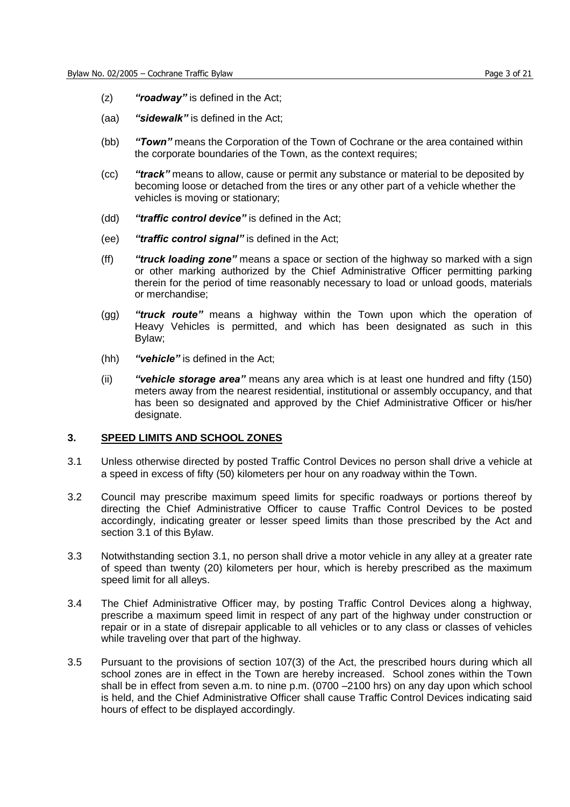- (z) *"roadway"*is defined in the Act;
- (aa) *"sidewalk"*is defined in the Act;
- (bb) *"Town"*means the Corporation of the Town of Cochrane or the area contained within the corporate boundaries of the Town, as the context requires;
- (cc) *"track"*means to allow, cause or permit any substance or material to be deposited by becoming loose or detached from the tires or any other part of a vehicle whether the vehicles is moving or stationary;
- (dd) *"traffic control device"* is defined in the Act;
- (ee) *"traffic control signal"* is defined in the Act;
- (ff) *"truck loading zone"* means a space or section of the highway so marked with a sign or other marking authorized by the Chief Administrative Officer permitting parking therein for the period of time reasonably necessary to load or unload goods, materials or merchandise;
- (gg) *"truck route"*means a highway within the Town upon which the operation of Heavy Vehicles is permitted, and which has been designated as such in this Bylaw;
- (hh) *"vehicle"*is defined in the Act;
- (ii) *"vehicle storage area"* means any area which is at least one hundred and fifty (150) meters away from the nearest residential, institutional or assembly occupancy, and that has been so designated and approved by the Chief Administrative Officer or his/her designate.

#### **3. SPEED LIMITS AND SCHOOL ZONES**

- 3.1 Unless otherwise directed by posted Traffic Control Devices no person shall drive a vehicle at a speed in excess of fifty (50) kilometers per hour on any roadway within the Town.
- 3.2 Council may prescribe maximum speed limits for specific roadways or portions thereof by directing the Chief Administrative Officer to cause Traffic Control Devices to be posted accordingly, indicating greater or lesser speed limits than those prescribed by the Act and section 3.1 of this Bylaw.
- 3.3 Notwithstanding section 3.1, no person shall drive a motor vehicle in any alley at a greater rate of speed than twenty (20) kilometers per hour, which is hereby prescribed as the maximum speed limit for all alleys.
- 3.4 The Chief Administrative Officer may, by posting Traffic Control Devices along a highway, prescribe a maximum speed limit in respect of any part of the highway under construction or repair or in a state of disrepair applicable to all vehicles or to any class or classes of vehicles while traveling over that part of the highway.
- 3.5 Pursuant to the provisions of section 107(3) of the Act, the prescribed hours during which all school zones are in effect in the Town are hereby increased. School zones within the Town shall be in effect from seven a.m. to nine p.m. (0700 –2100 hrs) on any day upon which school is held, and the Chief Administrative Officer shall cause Traffic Control Devices indicating said hours of effect to be displayed accordingly.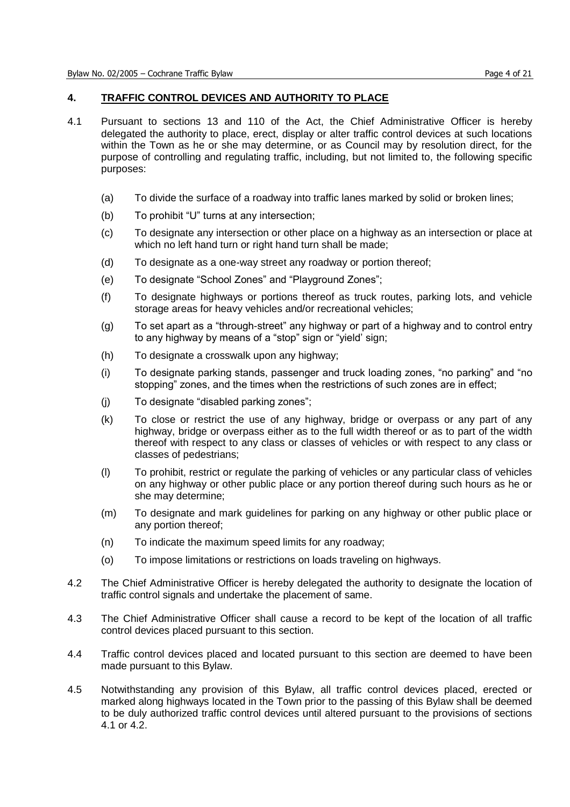### **4. TRAFFIC CONTROL DEVICES AND AUTHORITY TO PLACE**

- 4.1 Pursuant to sections 13 and 110 of the Act, the Chief Administrative Officer is hereby delegated the authority to place, erect, display or alter traffic control devices at such locations within the Town as he or she may determine, or as Council may by resolution direct, for the purpose of controlling and regulating traffic, including, but not limited to, the following specific purposes:
	- (a) To divide the surface of a roadway into traffic lanes marked by solid or broken lines;
	- (b) To prohibit "U" turns at any intersection;
	- (c) To designate any intersection or other place on a highway as an intersection or place at which no left hand turn or right hand turn shall be made;
	- (d) To designate as a one-way street any roadway or portion thereof;
	- (e) To designate "School Zones" and "Playground Zones";
	- (f) To designate highways or portions thereof as truck routes, parking lots, and vehicle storage areas for heavy vehicles and/or recreational vehicles;
	- (g) To set apart as a "through-street" any highway or part of a highway and to control entry to any highway by means of a "stop" sign or "yield' sign;
	- (h) To designate a crosswalk upon any highway;
	- (i) To designate parking stands, passenger and truck loading zones, "no parking" and "no stopping" zones, and the times when the restrictions of such zones are in effect;
	- $(i)$  To designate "disabled parking zones";
	- (k) To close or restrict the use of any highway, bridge or overpass or any part of any highway, bridge or overpass either as to the full width thereof or as to part of the width thereof with respect to any class or classes of vehicles or with respect to any class or classes of pedestrians;
	- (l) To prohibit, restrict or regulate the parking of vehicles or any particular class of vehicles on any highway or other public place or any portion thereof during such hours as he or she may determine;
	- (m) To designate and mark guidelines for parking on any highway or other public place or any portion thereof;
	- (n) To indicate the maximum speed limits for any roadway;
	- (o) To impose limitations or restrictions on loads traveling on highways.
- 4.2 The Chief Administrative Officer is hereby delegated the authority to designate the location of traffic control signals and undertake the placement of same.
- 4.3 The Chief Administrative Officer shall cause a record to be kept of the location of all traffic control devices placed pursuant to this section.
- 4.4 Traffic control devices placed and located pursuant to this section are deemed to have been made pursuant to this Bylaw.
- 4.5 Notwithstanding any provision of this Bylaw, all traffic control devices placed, erected or marked along highways located in the Town prior to the passing of this Bylaw shall be deemed to be duly authorized traffic control devices until altered pursuant to the provisions of sections 4.1 or 4.2.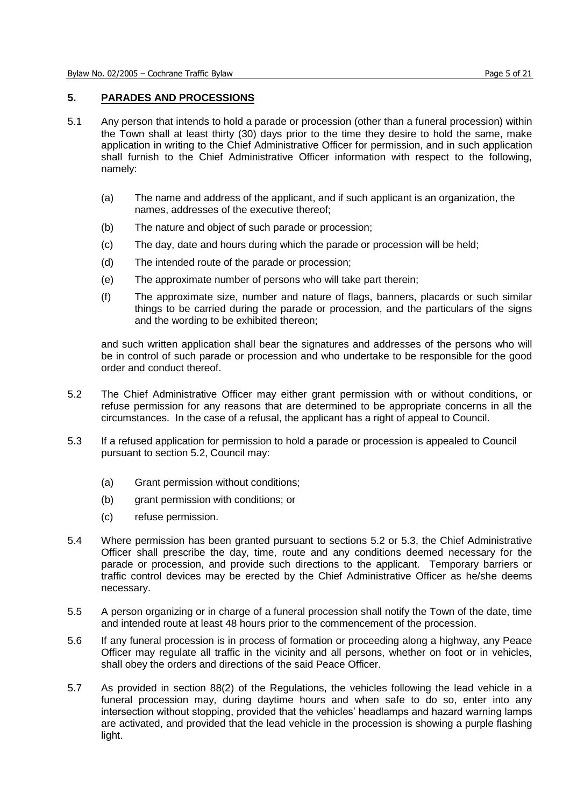### **5. PARADES AND PROCESSIONS**

- 5.1 Any person that intends to hold a parade or procession (other than a funeral procession) within the Town shall at least thirty (30) days prior to the time they desire to hold the same, make application in writing to the Chief Administrative Officer for permission, and in such application shall furnish to the Chief Administrative Officer information with respect to the following, namely:
	- (a) The name and address of the applicant, and if such applicant is an organization, the names, addresses of the executive thereof;
	- (b) The nature and object of such parade or procession;
	- (c) The day, date and hours during which the parade or procession will be held;
	- (d) The intended route of the parade or procession;
	- (e) The approximate number of persons who will take part therein;
	- (f) The approximate size, number and nature of flags, banners, placards or such similar things to be carried during the parade or procession, and the particulars of the signs and the wording to be exhibited thereon;

and such written application shall bear the signatures and addresses of the persons who will be in control of such parade or procession and who undertake to be responsible for the good order and conduct thereof.

- 5.2 The Chief Administrative Officer may either grant permission with or without conditions, or refuse permission for any reasons that are determined to be appropriate concerns in all the circumstances. In the case of a refusal, the applicant has a right of appeal to Council.
- 5.3 If a refused application for permission to hold a parade or procession is appealed to Council pursuant to section 5.2, Council may:
	- (a) Grant permission without conditions;
	- (b) grant permission with conditions; or
	- (c) refuse permission.
- 5.4 Where permission has been granted pursuant to sections 5.2 or 5.3, the Chief Administrative Officer shall prescribe the day, time, route and any conditions deemed necessary for the parade or procession, and provide such directions to the applicant. Temporary barriers or traffic control devices may be erected by the Chief Administrative Officer as he/she deems necessary.
- 5.5 A person organizing or in charge of a funeral procession shall notify the Town of the date, time and intended route at least 48 hours prior to the commencement of the procession.
- 5.6 If any funeral procession is in process of formation or proceeding along a highway, any Peace Officer may regulate all traffic in the vicinity and all persons, whether on foot or in vehicles, shall obey the orders and directions of the said Peace Officer.
- 5.7 As provided in section 88(2) of the Regulations, the vehicles following the lead vehicle in a funeral procession may, during daytime hours and when safe to do so, enter into any intersection without stopping, provided that the vehicles' headlamps and hazard warning lamps are activated, and provided that the lead vehicle in the procession is showing a purple flashing light.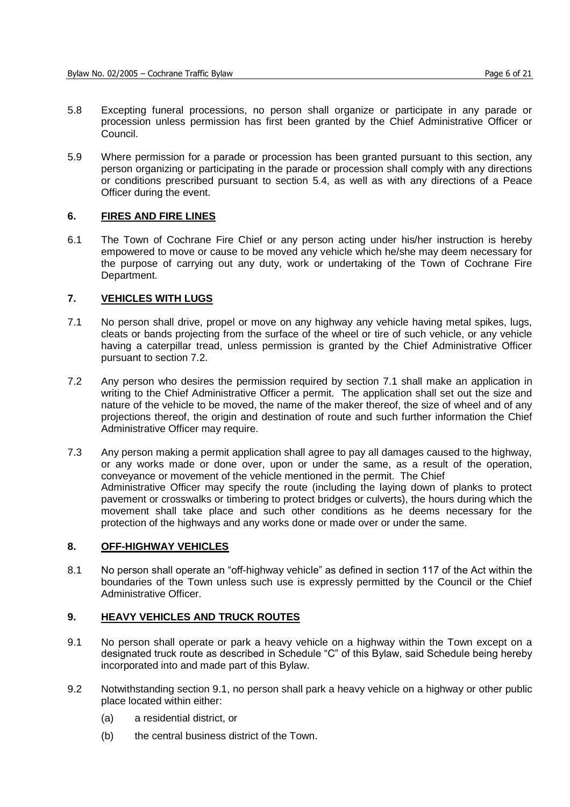- 5.8 Excepting funeral processions, no person shall organize or participate in any parade or procession unless permission has first been granted by the Chief Administrative Officer or Council.
- 5.9 Where permission for a parade or procession has been granted pursuant to this section, any person organizing or participating in the parade or procession shall comply with any directions or conditions prescribed pursuant to section 5.4, as well as with any directions of a Peace Officer during the event.

#### **6. FIRES AND FIRE LINES**

6.1 The Town of Cochrane Fire Chief or any person acting under his/her instruction is hereby empowered to move or cause to be moved any vehicle which he/she may deem necessary for the purpose of carrying out any duty, work or undertaking of the Town of Cochrane Fire Department.

### **7. VEHICLES WITH LUGS**

- 7.1 No person shall drive, propel or move on any highway any vehicle having metal spikes, lugs, cleats or bands projecting from the surface of the wheel or tire of such vehicle, or any vehicle having a caterpillar tread, unless permission is granted by the Chief Administrative Officer pursuant to section 7.2.
- 7.2 Any person who desires the permission required by section 7.1 shall make an application in writing to the Chief Administrative Officer a permit. The application shall set out the size and nature of the vehicle to be moved, the name of the maker thereof, the size of wheel and of any proiections thereof, the origin and destination of route and such further information the Chief Administrative Officer may require.
- 7.3 Any person making a permit application shall agree to pay all damages caused to the highway, or any works made or done over, upon or under the same, as a result of the operation, conveyance or movement of the vehicle mentioned in the permit. The Chief Administrative Officer may specify the route (including the laying down of planks to protect pavement or crosswalks or timbering to protect bridges or culverts), the hours during which the movement shall take place and such other conditions as he deems necessary for the protection of the highways and any works done or made over or under the same.

#### **8. OFF-HIGHWAY VEHICLES**

8.1 No person shall operate an "off-highway vehicle" as defined in section 117 of the Act within the boundaries of the Town unless such use is expressly permitted by the Council or the Chief Administrative Officer.

### **9. HEAVY VEHICLES AND TRUCK ROUTES**

- 9.1 No person shall operate or park a heavy vehicle on a highway within the Town except on a designated truck route as described in Schedule "C" of this Bylaw, said Schedule being hereby incorporated into and made part of this Bylaw.
- 9.2 Notwithstanding section 9.1, no person shall park a heavy vehicle on a highway or other public place located within either:
	- (a) a residential district, or
	- (b) the central business district of the Town.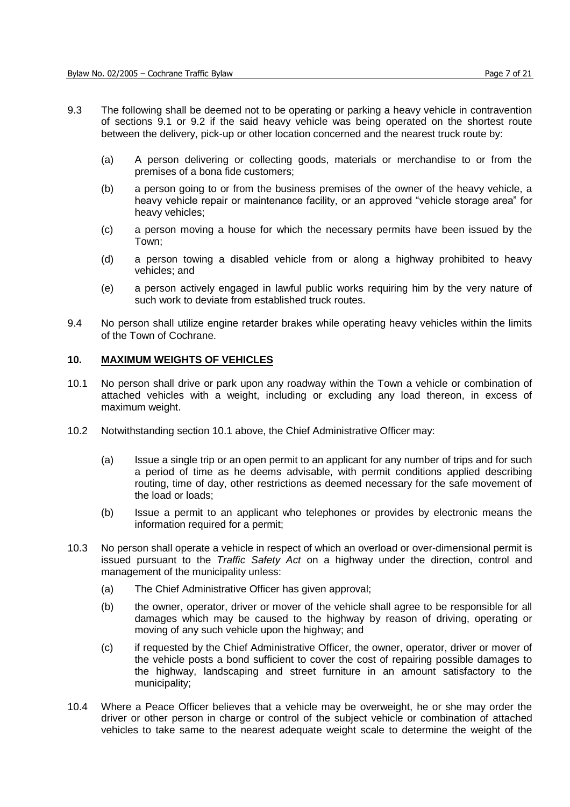- 9.3 The following shall be deemed not to be operating or parking a heavy vehicle in contravention of sections 9.1 or 9.2 if the said heavy vehicle was being operated on the shortest route between the delivery, pick-up or other location concerned and the nearest truck route by:
	- (a) A person delivering or collecting goods, materials or merchandise to or from the premises of a bona fide customers;
	- (b) a person going to or from the business premises of the owner of the heavy vehicle, a heavy vehicle repair or maintenance facility, or an approved "vehicle storage area" for heavy vehicles;
	- (c) a person moving a house for which the necessary permits have been issued by the Town;
	- (d) a person towing a disabled vehicle from or along a highway prohibited to heavy vehicles; and
	- (e) a person actively engaged in lawful public works requiring him by the very nature of such work to deviate from established truck routes.
- 9.4 No person shall utilize engine retarder brakes while operating heavy vehicles within the limits of the Town of Cochrane.

#### **10. MAXIMUM WEIGHTS OF VEHICLES**

- 10.1 No person shall drive or park upon any roadway within the Town a vehicle or combination of attached vehicles with a weight, including or excluding any load thereon, in excess of maximum weight.
- 10.2 Notwithstanding section 10.1 above, the Chief Administrative Officer may:
	- (a) Issue a single trip or an open permit to an applicant for any number of trips and for such a period of time as he deems advisable, with permit conditions applied describing routing, time of day, other restrictions as deemed necessary for the safe movement of the load or loads;
	- (b) Issue a permit to an applicant who telephones or provides by electronic means the information required for a permit;
- 10.3 No person shall operate a vehicle in respect of which an overload or over-dimensional permit is issued pursuant to the *Traffic Safety Act* on a highway under the direction, control and management of the municipality unless:
	- (a) The Chief Administrative Officer has given approval;
	- (b) the owner, operator, driver or mover of the vehicle shall agree to be responsible for all damages which may be caused to the highway by reason of driving, operating or moving of any such vehicle upon the highway; and
	- (c) if requested by the Chief Administrative Officer, the owner, operator, driver or mover of the vehicle posts a bond sufficient to cover the cost of repairing possible damages to the highway, landscaping and street furniture in an amount satisfactory to the municipality;
- 10.4 Where a Peace Officer believes that a vehicle may be overweight, he or she may order the driver or other person in charge or control of the subject vehicle or combination of attached vehicles to take same to the nearest adequate weight scale to determine the weight of the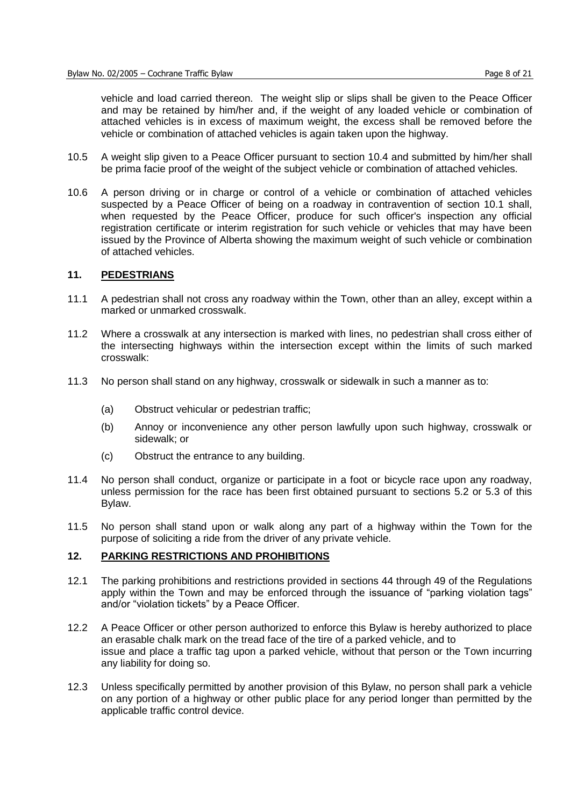vehicle and load carried thereon. The weight slip or slips shall be given to the Peace Officer and may be retained by him/her and, if the weight of any loaded vehicle or combination of attached vehicles is in excess of maximum weight, the excess shall be removed before the vehicle or combination of attached vehicles is again taken upon the highway.

- 10.5 A weight slip given to a Peace Officer pursuant to section 10.4 and submitted by him/her shall be prima facie proof of the weight of the subject vehicle or combination of attached vehicles.
- 10.6 A person driving or in charge or control of a vehicle or combination of attached vehicles suspected by a Peace Officer of being on a roadway in contravention of section 10.1 shall, when requested by the Peace Officer, produce for such officer's inspection any official registration certificate or interim registration for such vehicle or vehicles that may have been issued by the Province of Alberta showing the maximum weight of such vehicle or combination of attached vehicles.

#### **11. PEDESTRIANS**

- 11.1 A pedestrian shall not cross any roadway within the Town, other than an alley, except within a marked or unmarked crosswalk.
- 11.2 Where a crosswalk at any intersection is marked with lines, no pedestrian shall cross either of the intersecting highways within the intersection except within the limits of such marked crosswalk:
- 11.3 No person shall stand on any highway, crosswalk or sidewalk in such a manner as to:
	- (a) Obstruct vehicular or pedestrian traffic;
	- (b) Annoy or inconvenience any other person lawfully upon such highway, crosswalk or sidewalk; or
	- (c) Obstruct the entrance to any building.
- 11.4 No person shall conduct, organize or participate in a foot or bicycle race upon any roadway, unless permission for the race has been first obtained pursuant to sections 5.2 or 5.3 of this Bylaw.
- 11.5 No person shall stand upon or walk along any part of a highway within the Town for the purpose of soliciting a ride from the driver of any private vehicle.

#### **12. PARKING RESTRICTIONS AND PROHIBITIONS**

- 12.1 The parking prohibitions and restrictions provided in sections 44 through 49 of the Regulations apply within the Town and may be enforced through the issuance of "parking violation tags" and/or "violation tickets" by a Peace Officer.
- 12.2 A Peace Officer or other person authorized to enforce this Bylaw is hereby authorized to place an erasable chalk mark on the tread face of the tire of a parked vehicle, and to issue and place a traffic tag upon a parked vehicle, without that person or the Town incurring any liability for doing so.
- 12.3 Unless specifically permitted by another provision of this Bylaw, no person shall park a vehicle on any portion of a highway or other public place for any period longer than permitted by the applicable traffic control device.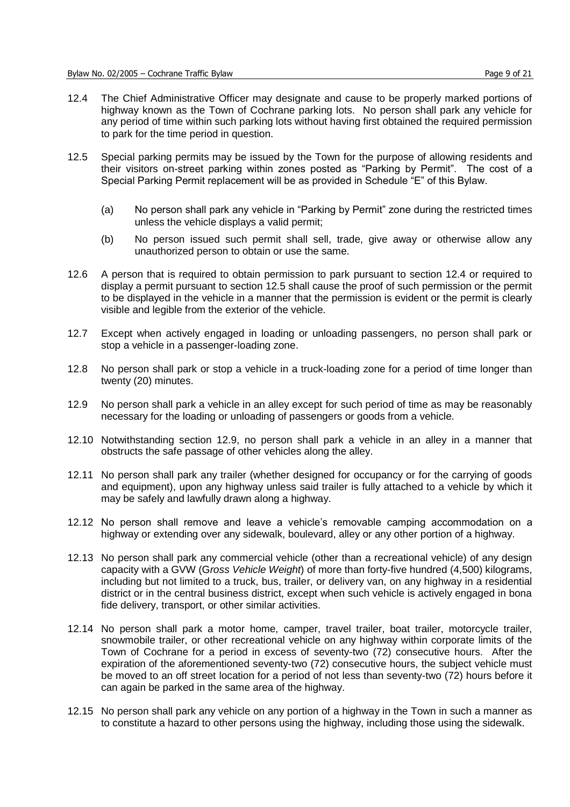- 12.4 The Chief Administrative Officer may designate and cause to be properly marked portions of highway known as the Town of Cochrane parking lots. No person shall park any vehicle for any period of time within such parking lots without having first obtained the required permission to park for the time period in question.
- 12.5 Special parking permits may be issued by the Town for the purpose of allowing residents and their visitors on-street parking within zones posted as "Parking by Permit". The cost of a Special Parking Permit replacement will be as provided in Schedule "E" of this Bylaw.
	- (a) No person shall park any vehicle in "Parking by Permit" zone during the restricted times unless the vehicle displays a valid permit;
	- (b) No person issued such permit shall sell, trade, give away or otherwise allow any unauthorized person to obtain or use the same.
- 12.6 A person that is required to obtain permission to park pursuant to section 12.4 or required to display a permit pursuant to section 12.5 shall cause the proof of such permission or the permit to be displayed in the vehicle in a manner that the permission is evident or the permit is clearly visible and legible from the exterior of the vehicle.
- 12.7 Except when actively engaged in loading or unloading passengers, no person shall park or stop a vehicle in a passenger-loading zone.
- 12.8 No person shall park or stop a vehicle in a truck-loading zone for a period of time longer than twenty (20) minutes.
- 12.9 No person shall park a vehicle in an alley except for such period of time as may be reasonably necessary for the loading or unloading of passengers or goods from a vehicle.
- 12.10 Notwithstanding section 12.9, no person shall park a vehicle in an alley in a manner that obstructs the safe passage of other vehicles along the alley.
- 12.11 No person shall park any trailer (whether designed for occupancy or for the carrying of goods and equipment), upon any highway unless said trailer is fully attached to a vehicle by which it may be safely and lawfully drawn along a highway.
- 12.12 No person shall remove and leave a vehicle's removable camping accommodation on a highway or extending over any sidewalk, boulevard, alley or any other portion of a highway.
- 12.13 No person shall park any commercial vehicle (other than a recreational vehicle) of any design capacity with a GVW (G*ross Vehicle Weight*) of more than forty-five hundred (4,500) kilograms, including but not limited to a truck, bus, trailer, or delivery van, on any highway in a residential district or in the central business district, except when such vehicle is actively engaged in bona fide delivery, transport, or other similar activities.
- 12.14 No person shall park a motor home, camper, travel trailer, boat trailer, motorcycle trailer, snowmobile trailer, or other recreational vehicle on any highway within corporate limits of the Town of Cochrane for a period in excess of seventy-two (72) consecutive hours. After the expiration of the aforementioned seventy-two (72) consecutive hours, the subject vehicle must be moved to an off street location for a period of not less than seventy-two (72) hours before it can again be parked in the same area of the highway.
- 12.15 No person shall park any vehicle on any portion of a highway in the Town in such a manner as to constitute a hazard to other persons using the highway, including those using the sidewalk.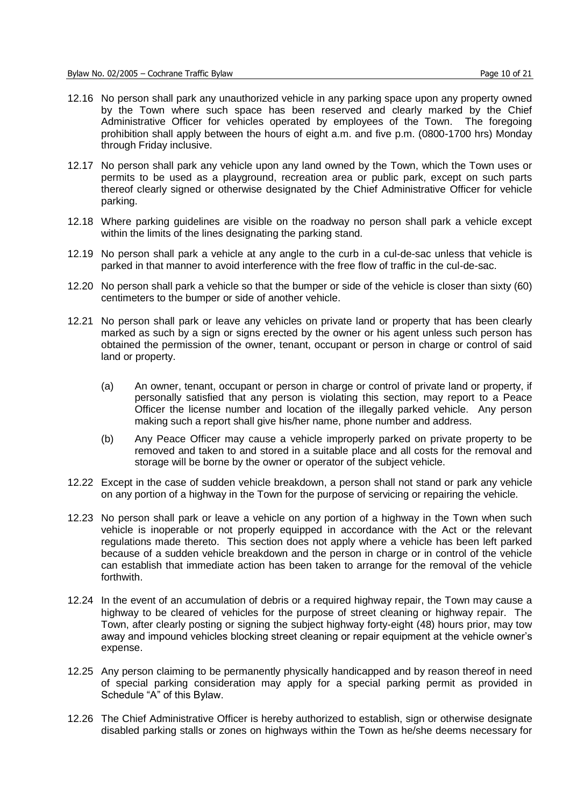- 12.16 No person shall park any unauthorized vehicle in any parking space upon any property owned by the Town where such space has been reserved and clearly marked by the Chief Administrative Officer for vehicles operated by employees of the Town. The foregoing prohibition shall apply between the hours of eight a.m. and five p.m. (0800-1700 hrs) Monday through Friday inclusive.
- 12.17 No person shall park any vehicle upon any land owned by the Town, which the Town uses or permits to be used as a playground, recreation area or public park, except on such parts thereof clearly signed or otherwise designated by the Chief Administrative Officer for vehicle parking.
- 12.18 Where parking guidelines are visible on the roadway no person shall park a vehicle except within the limits of the lines designating the parking stand.
- 12.19 No person shall park a vehicle at any angle to the curb in a cul-de-sac unless that vehicle is parked in that manner to avoid interference with the free flow of traffic in the cul-de-sac.
- 12.20 No person shall park a vehicle so that the bumper or side of the vehicle is closer than sixty (60) centimeters to the bumper or side of another vehicle.
- 12.21 No person shall park or leave any vehicles on private land or property that has been clearly marked as such by a sign or signs erected by the owner or his agent unless such person has obtained the permission of the owner, tenant, occupant or person in charge or control of said land or property.
	- (a) An owner, tenant, occupant or person in charge or control of private land or property, if personally satisfied that any person is violating this section, may report to a Peace Officer the license number and location of the illegally parked vehicle. Any person making such a report shall give his/her name, phone number and address.
	- (b) Any Peace Officer may cause a vehicle improperly parked on private property to be removed and taken to and stored in a suitable place and all costs for the removal and storage will be borne by the owner or operator of the subject vehicle.
- 12.22 Except in the case of sudden vehicle breakdown, a person shall not stand or park any vehicle on any portion of a highway in the Town for the purpose of servicing or repairing the vehicle.
- 12.23 No person shall park or leave a vehicle on any portion of a highway in the Town when such vehicle is inoperable or not properly equipped in accordance with the Act or the relevant regulations made thereto. This section does not apply where a vehicle has been left parked because of a sudden vehicle breakdown and the person in charge or in control of the vehicle can establish that immediate action has been taken to arrange for the removal of the vehicle forthwith.
- 12.24 In the event of an accumulation of debris or a required highway repair, the Town may cause a highway to be cleared of vehicles for the purpose of street cleaning or highway repair. The Town, after clearly posting or signing the subject highway forty-eight (48) hours prior, may tow away and impound vehicles blocking street cleaning or repair equipment at the vehicle owner's expense.
- 12.25 Any person claiming to be permanently physically handicapped and by reason thereof in need of special parking consideration may apply for a special parking permit as provided in Schedule "A" of this Bylaw.
- 12.26 The Chief Administrative Officer is hereby authorized to establish, sign or otherwise designate disabled parking stalls or zones on highways within the Town as he/she deems necessary for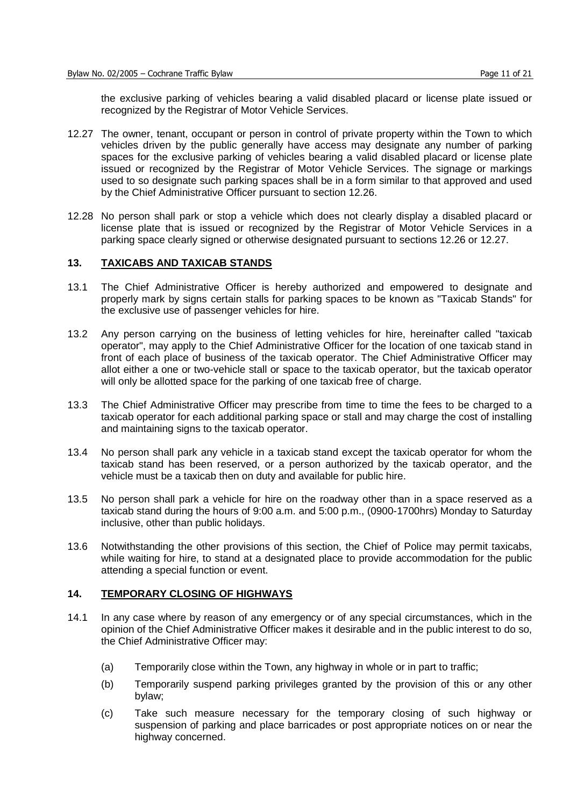the exclusive parking of vehicles bearing a valid disabled placard or license plate issued or recognized by the Registrar of Motor Vehicle Services.

- 12.27 The owner, tenant, occupant or person in control of private property within the Town to which vehicles driven by the public generally have access may designate any number of parking spaces for the exclusive parking of vehicles bearing a valid disabled placard or license plate issued or recognized by the Registrar of Motor Vehicle Services. The signage or markings used to so designate such parking spaces shall be in a form similar to that approved and used by the Chief Administrative Officer pursuant to section 12.26.
- 12.28 No person shall park or stop a vehicle which does not clearly display a disabled placard or license plate that is issued or recognized by the Registrar of Motor Vehicle Services in a parking space clearly signed or otherwise designated pursuant to sections 12.26 or 12.27.

#### **13. TAXICABS AND TAXICAB STANDS**

- 13.1 The Chief Administrative Officer is hereby authorized and empowered to designate and properly mark by signs certain stalls for parking spaces to be known as "Taxicab Stands" for the exclusive use of passenger vehicles for hire.
- 13.2 Any person carrying on the business of letting vehicles for hire, hereinafter called "taxicab operator", may apply to the Chief Administrative Officer for the location of one taxicab stand in front of each place of business of the taxicab operator. The Chief Administrative Officer may allot either a one or two-vehicle stall or space to the taxicab operator, but the taxicab operator will only be allotted space for the parking of one taxicab free of charge.
- 13.3 The Chief Administrative Officer may prescribe from time to time the fees to be charged to a taxicab operator for each additional parking space or stall and may charge the cost of installing and maintaining signs to the taxicab operator.
- 13.4 No person shall park any vehicle in a taxicab stand except the taxicab operator for whom the taxicab stand has been reserved, or a person authorized by the taxicab operator, and the vehicle must be a taxicab then on duty and available for public hire.
- 13.5 No person shall park a vehicle for hire on the roadway other than in a space reserved as a taxicab stand during the hours of 9:00 a.m. and 5:00 p.m., (0900-1700hrs) Monday to Saturday inclusive, other than public holidays.
- 13.6 Notwithstanding the other provisions of this section, the Chief of Police may permit taxicabs, while waiting for hire, to stand at a designated place to provide accommodation for the public attending a special function or event.

#### **14. TEMPORARY CLOSING OF HIGHWAYS**

- 14.1 In any case where by reason of any emergency or of any special circumstances, which in the opinion of the Chief Administrative Officer makes it desirable and in the public interest to do so, the Chief Administrative Officer may:
	- (a) Temporarily close within the Town, any highway in whole or in part to traffic;
	- (b) Temporarily suspend parking privileges granted by the provision of this or any other bylaw;
	- (c) Take such measure necessary for the temporary closing of such highway or suspension of parking and place barricades or post appropriate notices on or near the highway concerned.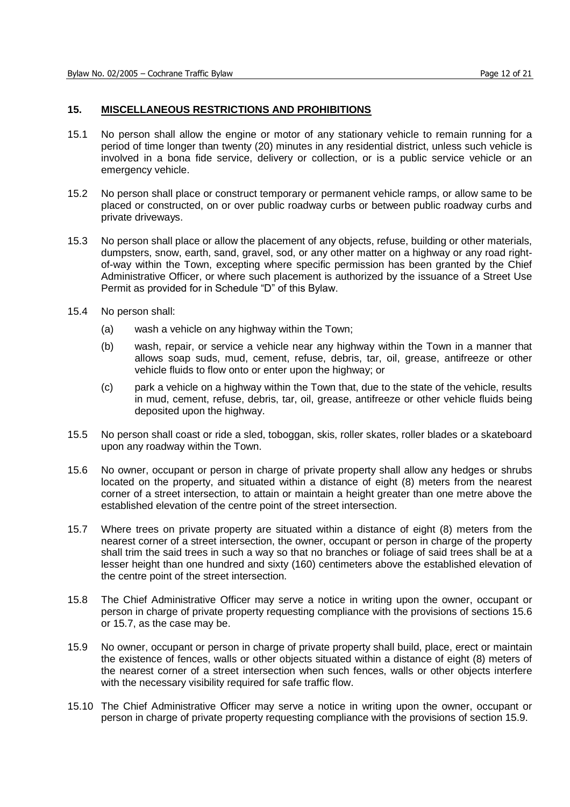#### **15. MISCELLANEOUS RESTRICTIONS AND PROHIBITIONS**

- 15.1 No person shall allow the engine or motor of any stationary vehicle to remain running for a period of time longer than twenty (20) minutes in any residential district, unless such vehicle is involved in a bona fide service, delivery or collection, or is a public service vehicle or an emergency vehicle.
- 15.2 No person shall place or construct temporary or permanent vehicle ramps, or allow same to be placed or constructed, on or over public roadway curbs or between public roadway curbs and private driveways.
- 15.3 No person shall place or allow the placement of any objects, refuse, building or other materials, dumpsters, snow, earth, sand, gravel, sod, or any other matter on a highway or any road rightof-way within the Town, excepting where specific permission has been granted by the Chief Administrative Officer, or where such placement is authorized by the issuance of a Street Use Permit as provided for in Schedule "D" of this Bylaw.
- 15.4 No person shall:
	- (a) wash a vehicle on any highway within the Town;
	- (b) wash, repair, or service a vehicle near any highway within the Town in a manner that allows soap suds, mud, cement, refuse, debris, tar, oil, grease, antifreeze or other vehicle fluids to flow onto or enter upon the highway; or
	- (c) park a vehicle on a highway within the Town that, due to the state of the vehicle, results in mud, cement, refuse, debris, tar, oil, grease, antifreeze or other vehicle fluids being deposited upon the highway.
- 15.5 No person shall coast or ride a sled, toboggan, skis, roller skates, roller blades or a skateboard upon any roadway within the Town.
- 15.6 No owner, occupant or person in charge of private property shall allow any hedges or shrubs located on the property, and situated within a distance of eight (8) meters from the nearest corner of a street intersection, to attain or maintain a height greater than one metre above the established elevation of the centre point of the street intersection.
- 15.7 Where trees on private property are situated within a distance of eight (8) meters from the nearest corner of a street intersection, the owner, occupant or person in charge of the property shall trim the said trees in such a way so that no branches or foliage of said trees shall be at a lesser height than one hundred and sixty (160) centimeters above the established elevation of the centre point of the street intersection.
- 15.8 The Chief Administrative Officer may serve a notice in writing upon the owner, occupant or person in charge of private property requesting compliance with the provisions of sections 15.6 or 15.7, as the case may be.
- 15.9 No owner, occupant or person in charge of private property shall build, place, erect or maintain the existence of fences, walls or other objects situated within a distance of eight (8) meters of the nearest corner of a street intersection when such fences, walls or other objects interfere with the necessary visibility required for safe traffic flow.
- 15.10 The Chief Administrative Officer may serve a notice in writing upon the owner, occupant or person in charge of private property requesting compliance with the provisions of section 15.9.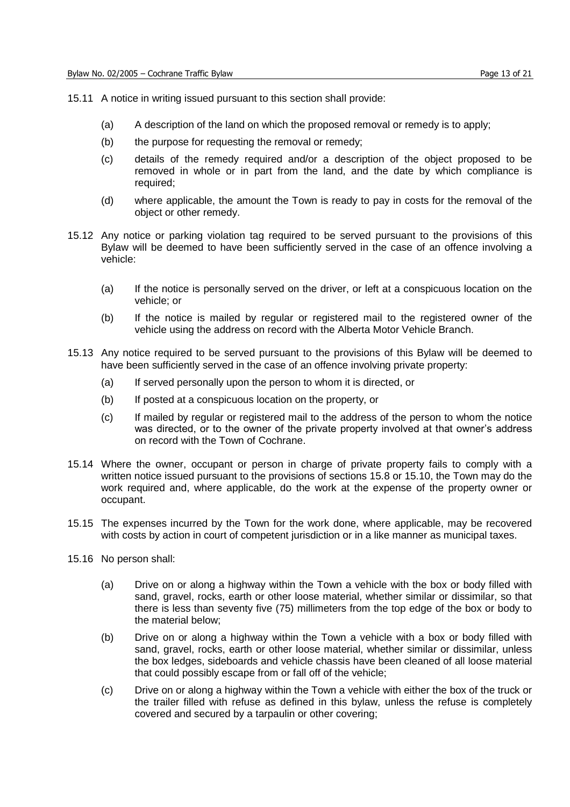- 15.11 A notice in writing issued pursuant to this section shall provide:
	- (a) A description of the land on which the proposed removal or remedy is to apply;
	- (b) the purpose for requesting the removal or remedy;
	- (c) details of the remedy required and/or a description of the object proposed to be removed in whole or in part from the land, and the date by which compliance is required;
	- (d) where applicable, the amount the Town is ready to pay in costs for the removal of the object or other remedy.
- 15.12 Any notice or parking violation tag required to be served pursuant to the provisions of this Bylaw will be deemed to have been sufficiently served in the case of an offence involving a vehicle:
	- (a) If the notice is personally served on the driver, or left at a conspicuous location on the vehicle; or
	- (b) If the notice is mailed by regular or registered mail to the registered owner of the vehicle using the address on record with the Alberta Motor Vehicle Branch.
- 15.13 Any notice required to be served pursuant to the provisions of this Bylaw will be deemed to have been sufficiently served in the case of an offence involving private property:
	- (a) If served personally upon the person to whom it is directed, or
	- (b) If posted at a conspicuous location on the property, or
	- (c) If mailed by regular or registered mail to the address of the person to whom the notice was directed, or to the owner of the private property involved at that owner's address on record with the Town of Cochrane.
- 15.14 Where the owner, occupant or person in charge of private property fails to comply with a written notice issued pursuant to the provisions of sections 15.8 or 15.10, the Town may do the work required and, where applicable, do the work at the expense of the property owner or occupant.
- 15.15 The expenses incurred by the Town for the work done, where applicable, may be recovered with costs by action in court of competent jurisdiction or in a like manner as municipal taxes.
- 15.16 No person shall:
	- (a) Drive on or along a highway within the Town a vehicle with the box or body filled with sand, gravel, rocks, earth or other loose material, whether similar or dissimilar, so that there is less than seventy five (75) millimeters from the top edge of the box or body to the material below;
	- (b) Drive on or along a highway within the Town a vehicle with a box or body filled with sand, gravel, rocks, earth or other loose material, whether similar or dissimilar, unless the box ledges, sideboards and vehicle chassis have been cleaned of all loose material that could possibly escape from or fall off of the vehicle;
	- (c) Drive on or along a highway within the Town a vehicle with either the box of the truck or the trailer filled with refuse as defined in this bylaw, unless the refuse is completely covered and secured by a tarpaulin or other covering;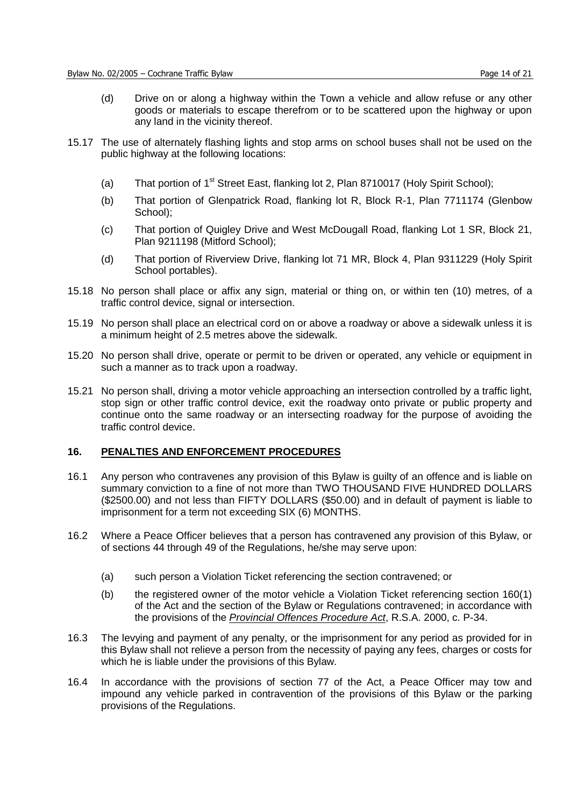- (d) Drive on or along a highway within the Town a vehicle and allow refuse or any other goods or materials to escape therefrom or to be scattered upon the highway or upon any land in the vicinity thereof.
- 15.17 The use of alternately flashing lights and stop arms on school buses shall not be used on the public highway at the following locations:
	- (a) That portion of 1<sup>st</sup> Street East, flanking lot 2, Plan 8710017 (Holy Spirit School);
	- (b) That portion of Glenpatrick Road, flanking lot R, Block R-1, Plan 7711174 (Glenbow School);
	- (c) That portion of Quigley Drive and West McDougall Road, flanking Lot 1 SR, Block 21, Plan 9211198 (Mitford School);
	- (d) That portion of Riverview Drive, flanking lot 71 MR, Block 4, Plan 9311229 (Holy Spirit School portables).
- 15.18 No person shall place or affix any sign, material or thing on, or within ten (10) metres, of a traffic control device, signal or intersection.
- 15.19 No person shall place an electrical cord on or above a roadway or above a sidewalk unless it is a minimum height of 2.5 metres above the sidewalk.
- 15.20 No person shall drive, operate or permit to be driven or operated, any vehicle or equipment in such a manner as to track upon a roadway.
- 15.21 No person shall, driving a motor vehicle approaching an intersection controlled by a traffic light, stop sign or other traffic control device, exit the roadway onto private or public property and continue onto the same roadway or an intersecting roadway for the purpose of avoiding the traffic control device.

#### **16. PENALTIES AND ENFORCEMENT PROCEDURES**

- 16.1 Any person who contravenes any provision of this Bylaw is guilty of an offence and is liable on summary conviction to a fine of not more than TWO THOUSAND FIVE HUNDRED DOLLARS (\$2500.00) and not less than FIFTY DOLLARS (\$50.00) and in default of payment is liable to imprisonment for a term not exceeding SIX (6) MONTHS.
- 16.2 Where a Peace Officer believes that a person has contravened any provision of this Bylaw, or of sections 44 through 49 of the Regulations, he/she may serve upon:
	- (a) such person a Violation Ticket referencing the section contravened; or
	- (b) the registered owner of the motor vehicle a Violation Ticket referencing section 160(1) of the Act and the section of the Bylaw or Regulations contravened; in accordance with the provisions of the *Provincial Offences Procedure Act*, R.S.A. 2000, c. P-34.
- 16.3 The levying and payment of any penalty, or the imprisonment for any period as provided for in this Bylaw shall not relieve a person from the necessity of paying any fees, charges or costs for which he is liable under the provisions of this Bylaw.
- 16.4 In accordance with the provisions of section 77 of the Act, a Peace Officer may tow and impound any vehicle parked in contravention of the provisions of this Bylaw or the parking provisions of the Regulations.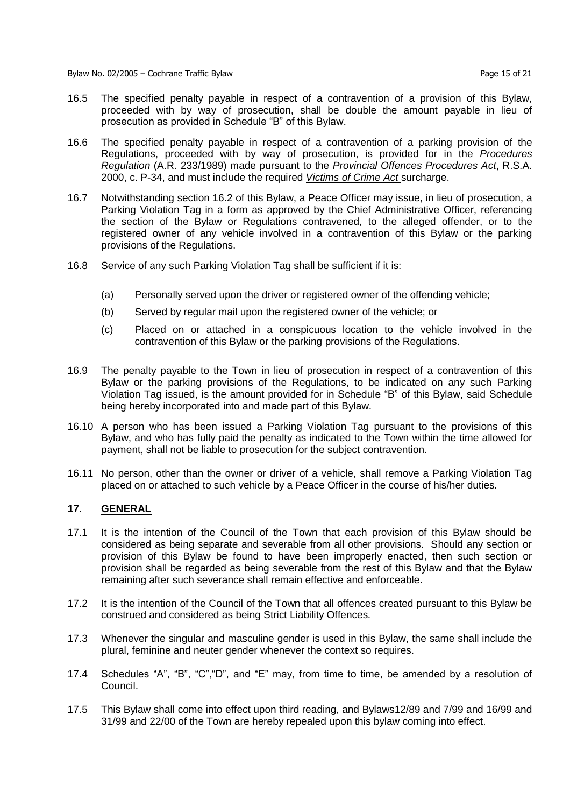- 16.5 The specified penalty payable in respect of a contravention of a provision of this Bylaw, proceeded with by way of prosecution, shall be double the amount payable in lieu of prosecution as provided in Schedule "B" of this Bylaw.
- 16.6 The specified penalty payable in respect of a contravention of a parking provision of the Regulations, proceeded with by way of prosecution, is provided for in the *Procedures Regulation* (A.R. 233/1989) made pursuant to the *Provincial Offences Procedures Act*, R.S.A. 2000, c. P-34, and must include the required *Victims of Crime Act* surcharge.
- 16.7 Notwithstanding section 16.2 of this Bylaw, a Peace Officer may issue, in lieu of prosecution, a Parking Violation Tag in a form as approved by the Chief Administrative Officer, referencing the section of the Bylaw or Regulations contravened, to the alleged offender, or to the registered owner of any vehicle involved in a contravention of this Bylaw or the parking provisions of the Regulations.
- 16.8 Service of any such Parking Violation Tag shall be sufficient if it is:
	- (a) Personally served upon the driver or registered owner of the offending vehicle;
	- (b) Served by regular mail upon the registered owner of the vehicle; or
	- (c) Placed on or attached in a conspicuous location to the vehicle involved in the contravention of this Bylaw or the parking provisions of the Regulations.
- 16.9 The penalty payable to the Town in lieu of prosecution in respect of a contravention of this Bylaw or the parking provisions of the Regulations, to be indicated on any such Parking Violation Tag issued, is the amount provided for in Schedule "B" of this Bylaw, said Schedule being hereby incorporated into and made part of this Bylaw.
- 16.10 A person who has been issued a Parking Violation Tag pursuant to the provisions of this Bylaw, and who has fully paid the penalty as indicated to the Town within the time allowed for payment, shall not be liable to prosecution for the subject contravention.
- 16.11 No person, other than the owner or driver of a vehicle, shall remove a Parking Violation Tag placed on or attached to such vehicle by a Peace Officer in the course of his/her duties.

#### **17. GENERAL**

- 17.1 It is the intention of the Council of the Town that each provision of this Bylaw should be considered as being separate and severable from all other provisions. Should any section or provision of this Bylaw be found to have been improperly enacted, then such section or provision shall be regarded as being severable from the rest of this Bylaw and that the Bylaw remaining after such severance shall remain effective and enforceable.
- 17.2 It is the intention of the Council of the Town that all offences created pursuant to this Bylaw be construed and considered as being Strict Liability Offences.
- 17.3 Whenever the singular and masculine gender is used in this Bylaw, the same shall include the plural, feminine and neuter gender whenever the context so requires.
- 17.4 Schedules "A", "B", "C", "D", and "E" may, from time to time, be amended by a resolution of Council.
- 17.5 This Bylaw shall come into effect upon third reading, and Bylaws12/89 and 7/99 and 16/99 and 31/99 and 22/00 of the Town are hereby repealed upon this bylaw coming into effect.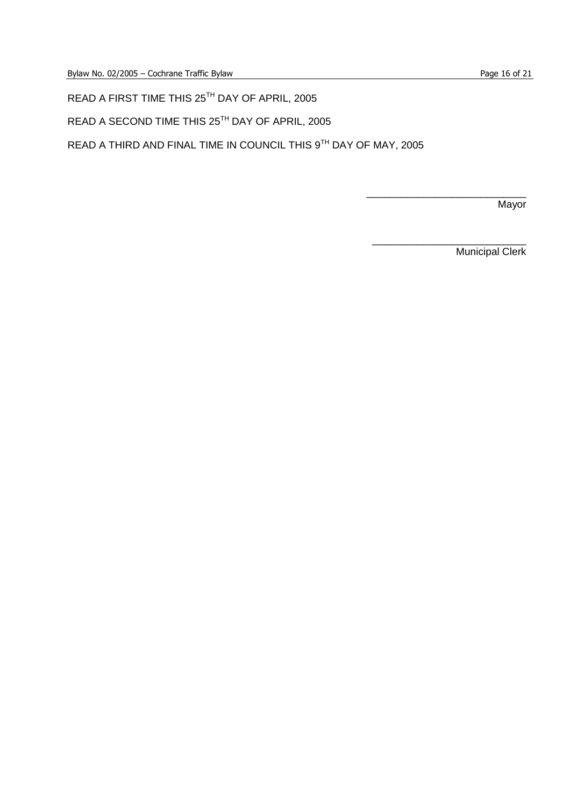READ A FIRST TIME THIS 25TH DAY OF APRIL, 2005

READ A SECOND TIME THIS 25<sup>TH</sup> DAY OF APRIL, 2005

READ A THIRD AND FINAL TIME IN COUNCIL THIS 9TH DAY OF MAY, 2005

**Mayor** 

Municipal Clerk

\_\_\_\_\_\_\_\_\_\_\_\_\_\_\_\_\_\_\_\_\_\_\_\_\_\_\_\_

\_\_\_\_\_\_\_\_\_\_\_\_\_\_\_\_\_\_\_\_\_\_\_\_\_\_\_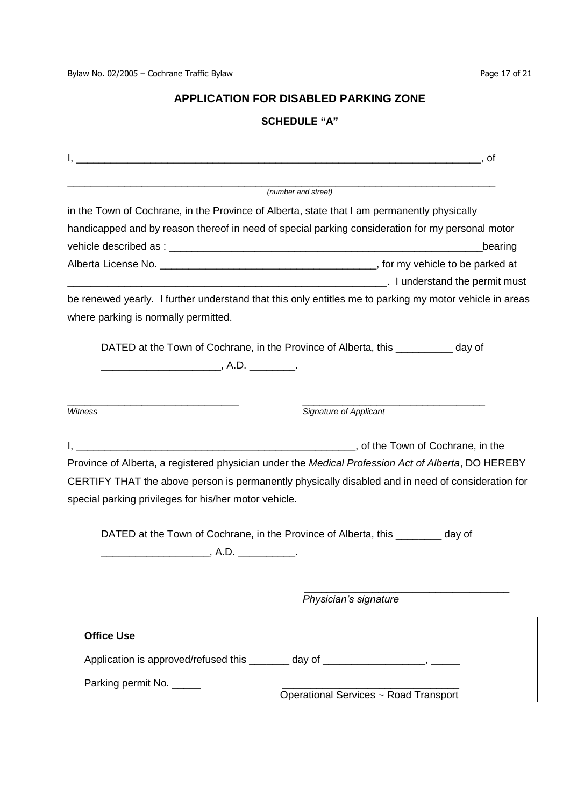# **APPLICATION FOR DISABLED PARKING ZONE**

# **SCHEDULE"A"**

|                                                                                   | (number and street)                                                                                     |
|-----------------------------------------------------------------------------------|---------------------------------------------------------------------------------------------------------|
|                                                                                   | in the Town of Cochrane, in the Province of Alberta, state that I am permanently physically             |
|                                                                                   | handicapped and by reason thereof in need of special parking consideration for my personal motor        |
|                                                                                   | bearing                                                                                                 |
|                                                                                   |                                                                                                         |
|                                                                                   |                                                                                                         |
|                                                                                   | be renewed yearly. I further understand that this only entitles me to parking my motor vehicle in areas |
| where parking is normally permitted.                                              |                                                                                                         |
|                                                                                   |                                                                                                         |
|                                                                                   | DATED at the Town of Cochrane, in the Province of Alberta, this ___________ day of                      |
|                                                                                   |                                                                                                         |
|                                                                                   |                                                                                                         |
| Witness                                                                           | Signature of Applicant                                                                                  |
|                                                                                   |                                                                                                         |
|                                                                                   |                                                                                                         |
|                                                                                   | Province of Alberta, a registered physician under the Medical Profession Act of Alberta, DO HEREBY      |
|                                                                                   | CERTIFY THAT the above person is permanently physically disabled and in need of consideration for       |
| special parking privileges for his/her motor vehicle.                             |                                                                                                         |
|                                                                                   |                                                                                                         |
|                                                                                   | DATED at the Town of Cochrane, in the Province of Alberta, this ________ day of                         |
|                                                                                   |                                                                                                         |
|                                                                                   |                                                                                                         |
|                                                                                   |                                                                                                         |
|                                                                                   | Physician's signature                                                                                   |
| <b>Office Use</b>                                                                 |                                                                                                         |
| Application is approved/refused this _______ day of _____________________________ |                                                                                                         |
|                                                                                   |                                                                                                         |
| Parking permit No. _____                                                          |                                                                                                         |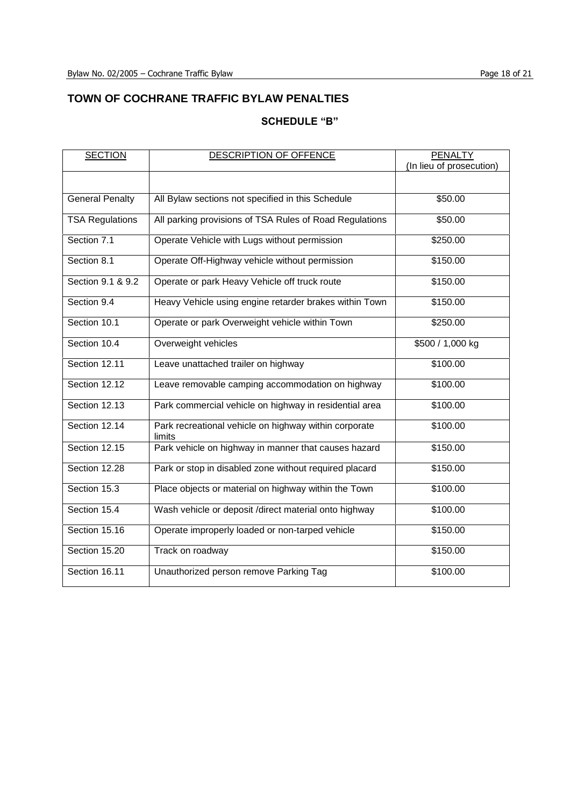# **TOWN OF COCHRANE TRAFFIC BYLAW PENALTIES**

# **SCHEDULE"B"**

| <b>SECTION</b>         | DESCRIPTION OF OFFENCE                                          | <b>PENALTY</b>           |
|------------------------|-----------------------------------------------------------------|--------------------------|
|                        |                                                                 | (In lieu of prosecution) |
|                        |                                                                 |                          |
| <b>General Penalty</b> | All Bylaw sections not specified in this Schedule               | \$50.00                  |
| <b>TSA Regulations</b> | All parking provisions of TSA Rules of Road Regulations         | \$50.00                  |
| Section 7.1            | Operate Vehicle with Lugs without permission                    | \$250.00                 |
| Section 8.1            | Operate Off-Highway vehicle without permission                  | \$150.00                 |
| Section 9.1 & 9.2      | Operate or park Heavy Vehicle off truck route                   | \$150.00                 |
| Section 9.4            | Heavy Vehicle using engine retarder brakes within Town          | \$150.00                 |
| Section 10.1           | Operate or park Overweight vehicle within Town                  | \$250.00                 |
| Section 10.4           | Overweight vehicles                                             | \$500 / 1,000 kg         |
| Section 12.11          | Leave unattached trailer on highway                             | \$100.00                 |
| Section 12.12          | Leave removable camping accommodation on highway                | \$100.00                 |
| Section 12.13          | Park commercial vehicle on highway in residential area          | \$100.00                 |
| Section 12.14          | Park recreational vehicle on highway within corporate<br>limits | \$100.00                 |
| Section 12.15          | Park vehicle on highway in manner that causes hazard            | \$150.00                 |
| Section 12.28          | Park or stop in disabled zone without required placard          | \$150.00                 |
| Section 15.3           | Place objects or material on highway within the Town            | \$100.00                 |
| Section 15.4           | Wash vehicle or deposit /direct material onto highway           | \$100.00                 |
| Section 15.16          | Operate improperly loaded or non-tarped vehicle                 | \$150.00                 |
| Section 15.20          | Track on roadway                                                | \$150.00                 |
| Section 16.11          | Unauthorized person remove Parking Tag                          | \$100.00                 |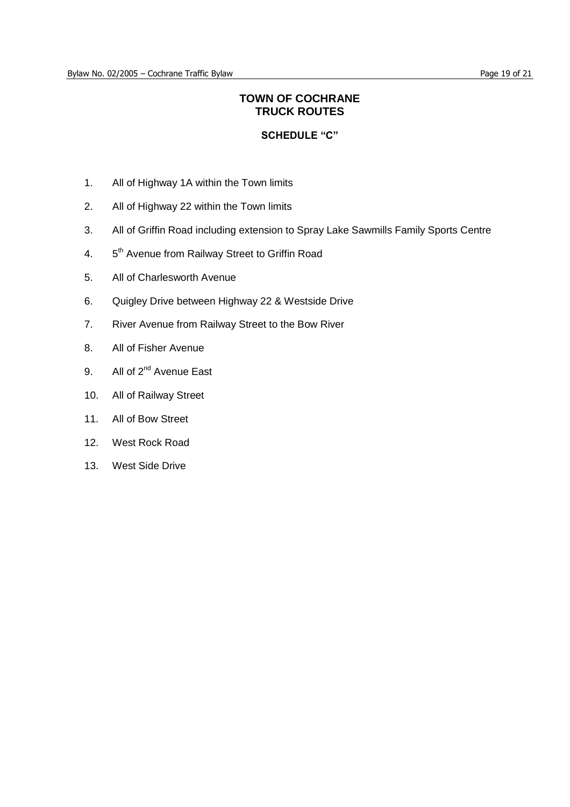# **TOWN OF COCHRANE TRUCK ROUTES**

## **SCHEDULE"C"**

- 1. All of Highway 1A within the Town limits
- 2. All of Highway 22 within the Town limits
- 3. All of Griffin Road including extension to Spray Lake Sawmills Family Sports Centre
- $4.$ 5<sup>th</sup> Avenue from Railway Street to Griffin Road
- 5. All of Charlesworth Avenue
- 6. Quigley Drive between Highway 22 & Westside Drive
- 7. River Avenue from Railway Street to the Bow River
- 8. All of Fisher Avenue
- 9. All of 2<sup>nd</sup> Avenue East
- 10. All of Railway Street
- 11. All of Bow Street
- 12. West Rock Road
- 13. West Side Drive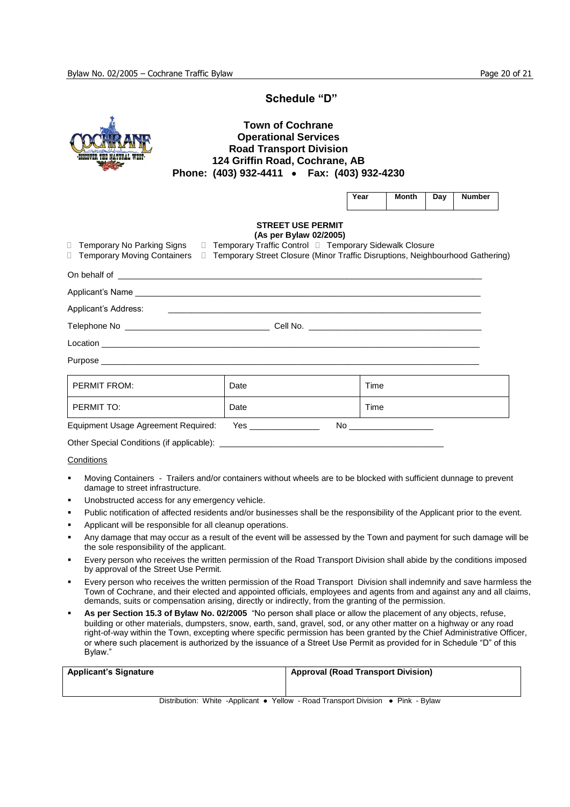#### **Schedule"D"**

### **Town of Cochrane Operational Services Road Transport Division 124 Griffin Road, Cochrane, AB Phone: (403) 932-4411 Fax: (403) 932-4230**

| Year | Month | Dav | <b>Number</b> |
|------|-------|-----|---------------|
|------|-------|-----|---------------|

#### **STREET USE PERMIT (As per Bylaw 02/2005)**

| □ Temporary No Parking Signs □ Temporary Traffic Control □ Temporary Sidewalk Closure<br>□ Temporary Moving Containers □ Temporary Street Closure (Minor Traffic Disruptions, Neighbourhood Gathering) |           |      |
|--------------------------------------------------------------------------------------------------------------------------------------------------------------------------------------------------------|-----------|------|
|                                                                                                                                                                                                        |           |      |
|                                                                                                                                                                                                        |           |      |
|                                                                                                                                                                                                        |           |      |
|                                                                                                                                                                                                        |           |      |
|                                                                                                                                                                                                        |           |      |
|                                                                                                                                                                                                        |           |      |
| <b>PERMIT FROM:</b>                                                                                                                                                                                    | Date      | Time |
| PERMIT TO:                                                                                                                                                                                             | Date      | Time |
| Equipment Usage Agreement Required:                                                                                                                                                                    | Yes<br>No |      |

Other Special Conditions (if applicable): \_

#### **Conditions**

- Moving Containers Trailers and/or containers without wheels are to be blocked with sufficient dunnage to prevent damage to street infrastructure.
- Unobstructed access for any emergency vehicle.
- Public notification of affected residents and/or businesses shall be the responsibility of the Applicant prior to the event.
- Applicant will be responsible for all cleanup operations.
- Any damage that may occur as a result of the event will be assessed by the Town and payment for such damage will be the sole responsibility of the applicant.
- Every person who receives the written permission of the Road Transport Division shall abide by the conditions imposed by approval of the Street Use Permit.
- Every person who receives the written permission of the Road Transport Division shall indemnify and save harmless the Town of Cochrane, and their elected and appointed officials, employees and agents from and against any and all claims, demands, suits or compensation arising, directly or indirectly, from the granting of the permission.
- As per Section 15.3 of Bylaw No. 02/2005 "No person shall place or allow the placement of any objects, refuse, building or other materials, dumpsters, snow, earth, sand, gravel, sod, or any other matter on a highway or any road right-of-way within the Town, excepting where specific permission has been granted by the Chief Administrative Officer, or where such placement is authorized by the issuance of a Street Use Permit as provided for in Schedule "D" of this Bylaw."

| <b>Applicant's Signature</b> | <b>Approval (Road Transport Division)</b>                                     |  |
|------------------------------|-------------------------------------------------------------------------------|--|
|                              |                                                                               |  |
|                              | Distribution: White Applicant - Vollow, Dead Trensport Division - Diply Dulow |  |

Distribution: White -Applicant • Yellow - Road Transport Division • Pink - Bylaw